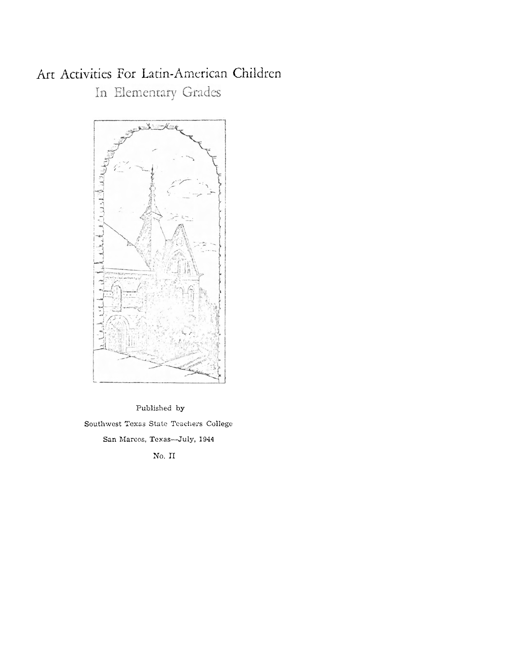# Art Activities For Latin-American Children In Elementary Grades



Published by Southwest Texas State Teachers College San Marcos, Texas-July, 1944

No. II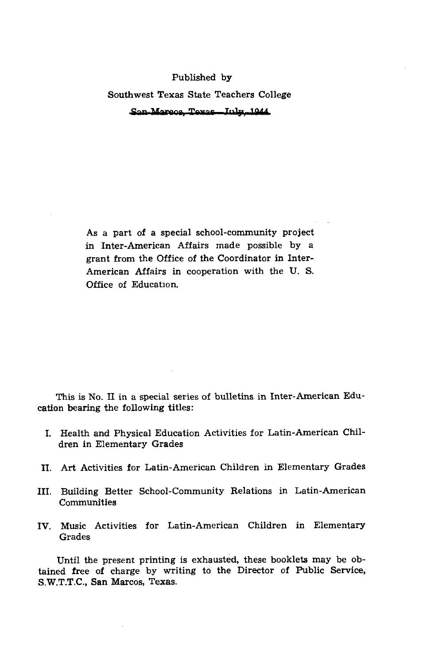## Published by Southwest Texas State Teachers College

Published by<br>
Southwest Texas State Teachers College<br>
San Marson, Texas State Teachers College<br>
Inter-American Affairs made possible by a<br>
Inframe Affairs and possible by a<br>
refrien Affairs in cooperation with the U.S.<br>
Er As a part of a special school-community project in Inter-American Affairs made possible by a grant from the Office of the Coordinator in Inter-American Affairs in cooperation with the U. S. Office of Education.

This is No. I1 in a special series of bulletins in Inter-American Education bearing the following titles:

- **I.** Health and Physical Education Activities for Latin-American Children in Elementary Grades
- **XI.** Art Activities for Latin-American Children in Elementary Grades
- 111. Building Better School-Community Relations in Latin-American Communities
- IV. Music Activities for Latin-American Children in Elementary Grades

Until the present printing is exhausted, these booklets may be obtained free of charge by writing to the Director of Public Service, S.W.T.T.C., San Marcos, Texas.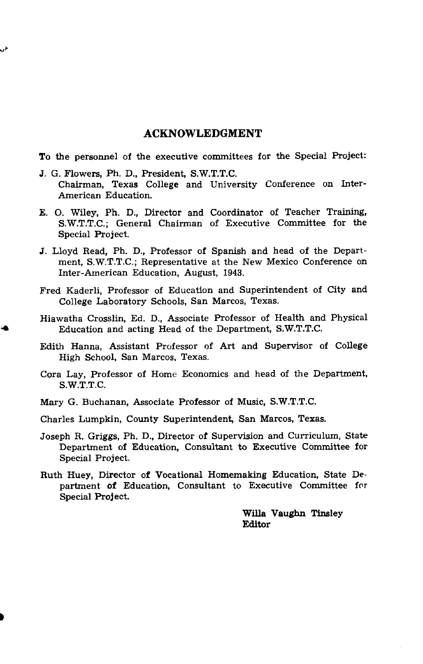## **ACKNOWLEDGMENT**

To the personnel of the executive committees for the Special Project:

- J. G. Flowers, Ph. D., President, S.W.T.T.C. Chairman, Texas College and University Conference on Inter-American Education.
- E. 0. Wiley, Ph. D., Director and Coordinator of Teacher Training, S.W.T.T.C.; General Chairman of Executive Committee for the Special Project.
- J. Lloyd Read, Ph. D., Professor of Spanish and head of the Department, S.W.T.T.C.; Representative at the New Mexico Conference on Inter-American Education, August, 1943.
- Fred Kaderli, Professor of Education and Superintendent of City and College Laboratory Schools, San Marcos, Texas.
- Hiawatha Crosslin, Ed. D., Associate Professor of Health and Physical Education and acting Head of the Department, S.W.T.T.C.
- Edith Hanna, Assistant Professor of Art and Supervisor of College High School, San Marcos, Texas.
- Cora Lay, Professor of Home Economics and head of the Department, S.W.T.T.C.
- Mary G. Buchanan, Associate Professor of Music, S.W.T.T.C.
- Charles Lumpkin, County Superintendent, San Marcos, Texas.
- Joseph R. Griggs, Ph. D., Director of Supervision and Curriculum, State Department of Education, Consultant to Executive Committee for Special Project.
- Ruth Huey, Director of Vocational Homemaking Education, State Department of Education, Consultant to Executive Committee for Special Project.

**Willa** Vaughn Tinsley Editor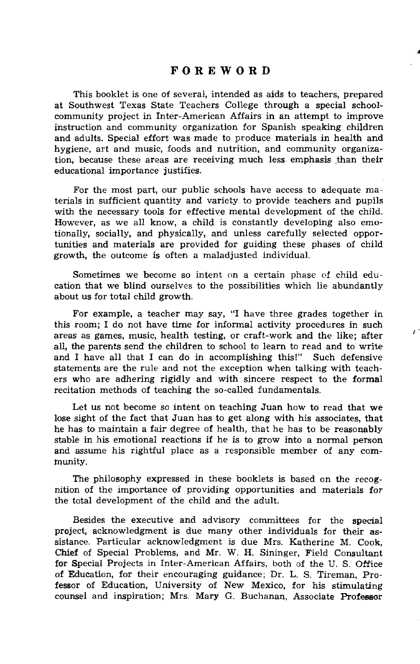## **FOREWORD**

This booklet is one of several, intended as aids to teachers, prepared at Southwest Texas State Teachers College through a special schoolcommunity project in Inter-American Affairs in an attempt to improve instruction and community organization for Spanish speaking children and adults. Special effort was made to produce materials in health and hygiene, art and music, foods and nutrition, and community organization, because these areas are receiving much less emphasis than their educational importance justifies.

For the most part, our public schools have access to adequate materials in sufficient quantity and variety to provide teachers and pupils with the necessary tools for effective mental development of the child. However, as we all know, a child is constantly developing also emotionally, socially, and physically, and unless carefully selected opportunities and materials are provided for guiding these phases of child growth, the outcome is often a maladjusted individual.

Sometimes we become so intent on a certain phase of child education that we blind ourselves to the possibilities which lie abundantly about us for total child growth.

For example, a teacher may say, "I have three grades together in this room; I do not have time for informal activity procedures in such areas as games, music, health testing, or craft-work and the like; after all, the parents send the children to school to learn to read and to write and I have all that I can do in accomplishing this!" Such defensive statements are the rule and not the exception when talking with teachers who are adhering rigidly and with sincere respect to the formal recitation methods of teaching the so-called fundamentals.

Let us not become so intent on teaching Juan how to read that we lose sight of the fact that Juan has to get along with his associates, that he has to maintain a fair degree of health, that he has to be reasonably stable in his emotional reactions if he is to grow into a normal person and assume his rightful place as a responsible member of any community.

The philosophy expressed in these booklets is based on the recognition of the importance of providing opportunities and materials for the total development of the child and the adult.

Besides the executive and advisory committees for the special project, acknowledgment is due many other individuals for their assistance. Particular acknowledgment is due Mrs. Katherine M. Cook, Chief of Special Problems, and Mr. W. H. Sininger, Field Consultant for Special Projects in Inter-American Affairs, both af the U. S. Office of Education, for their encouraging guidance; Dr. L. S. Tireman, Professor of Education, University of New Mexico, for his stimulating counsel and inspiration; Mrs. Mary G. Buchanan, Associate Professor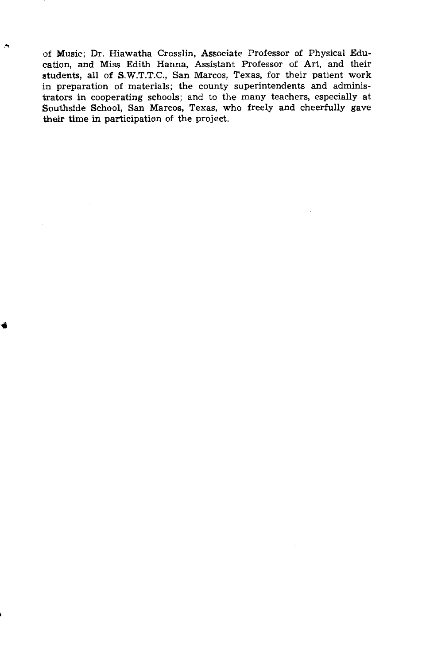of Music; Dr. Hiawatha Crcsslin, Associate Professor of Physical Education, and Miss Edith Hanna, Assistant Professor of Art, and their students, all of S.W.T.T.C., San Marcos, Texas, for their patient work in preparation of materials; the county superintendents and administrators in cooperating schools; and to the many teachers, especially at Southside School, San Marcos, Texas, who freely and cheerfully gave their time in participation of the project.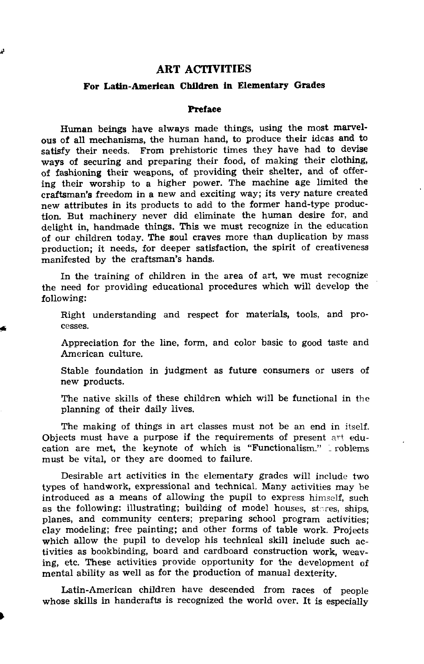## **ART ACTIVITIES**

## **For Latin-American Children in Elementary Grades**

#### **Preface**

Human beings have always made things, using the most marvelous of all mechanisms, the human hand, to produce their ideas and to satisfy their needs. From prehistoric times they have had to devise ways of securing and preparing their food, of making their clothing, of fashioning their weapons, of providing their shelter, and of offering their worship to a higher power. The machine age limited the craftsman's freedom in a new and exciting way; its very nature created new attributes in its products to add to the former hand-type production. But machinery never did eliminate the human desire for, and delight in, handmade things. This we must recognize in the education of our children today. The soul craves more than duplication by mass production; it needs, for deeper satisfaction, the spirit of creativeness manifested by the craftsman's hands.

In the training of children in the area of art, we must recognize the need for providing educational procedures which will develop the following:

Right understanding and respect for materials, tools, and processes.

Appreciation for the line, form, and color basic to good taste and American culture.

Stable foundation in judgment as future consumers or users of new products.

The native skills of these children which will be functional in the planning of their daily lives.

The making of things in art classes must not be an end in itself. Objects must have a purpose if the requirements of present art education are met, the keynote of which is "Functionalism." I roblems must be vital, or they are doomed to failure.

Desirable art activities in the elementary grades will include two types of handwork, expressional and technical. Many activities may be introduced as a means of allowing the pupil to express himself, such as the following: illustrating; building of model houses, stores, ships, planes, and community centers; preparing school program activities; clay modeling; free painting; and other forms of table work. Projects which allow the pupil to develop his technical skill include such activities as bookbinding, board and cardboard construction work, weaving, etc. These activities provide opportunity for the development of mental ability as well as for the production of manual dexterity.

Latin-American children have descended from races of people whose skills in handcrafts is recognized the world over. It is especially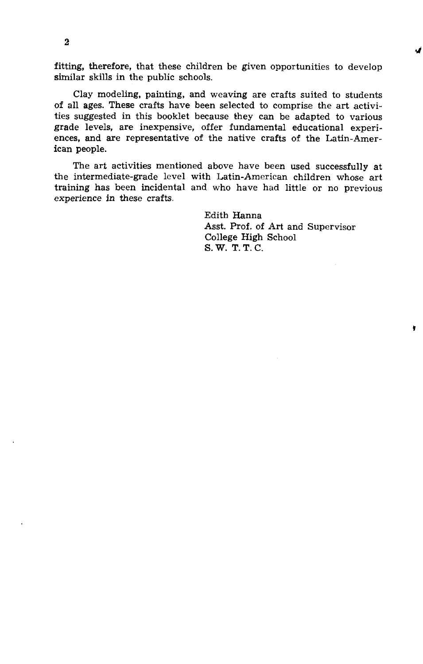fitting, therefore, that these children be given opportunities to develop similar skills in the public schools.

Clay modeling, painting, and weaving are crafts suited to students of all ages. These crafts have been selected to comprise the art activities suggested in this booklet because they can be adapted to various grade levels, are inexpensive, offer fundamental educational experiences, and are representative of the native crafts of the Latin-American people.

The art activities mentioned above have been used successfully at the intermediate-grade level with Latin-American children whose art training has been incidental and who have had little or no previous experience in these crafts.

> Edith Hanna Asst. Prof. of Art and Supervisor College High School S. W. T. T. C.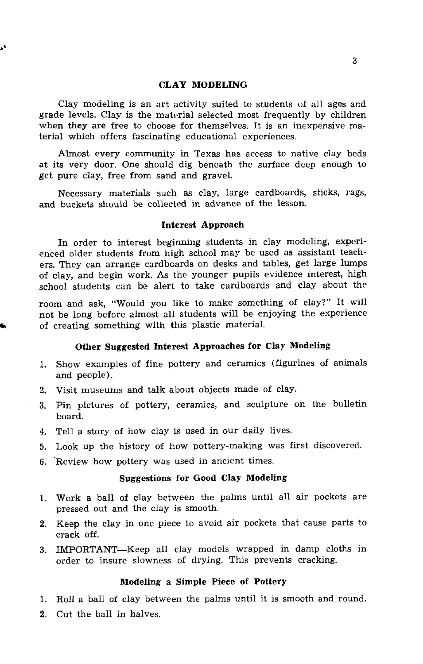## CLAY MODELING

Clay modeling is an art activity suited to students of all ages and grade levels. Clay is the material selected most frequently by children when they are free to choose for themselves. It is an inexpensive material which offers fascinating educational experiences.

Almost every community in Texas has access to native clay beds at its very door. One should dig beneath the surface deep enough to get pure clay, free from sand and gravel.

Necessary materials such as clay, large cardboards, sticks, rags, and buckets should be collected in advance of the lesson.

#### Interest Approach

In order to interest beginning students in clay modeling, experienced older students from high school may be used as assistant teachers. They can arrange cardboards on desks and tables, get large lumps of clay, and begin work. As the younger pupils evidence interest, high school students can be alert to take cardboards and clay about the

room and ask, "Would you like to make something of clay?" It will not be long before almost all students will be enjoying the experience **k** of creating something with this plastic material.

## Other Suggested Interest Approaches for Clay Modeling

- 1. Show examples of fine pottery and ceramics (figurines of animals and people).
- **2.** Visit museums and talk about objects made of clay.
- **3.** Pin pictures of pottery, ceramics, and sculpture on the bulletin board.
- 4. Tell a story of how clay is used in our daily lives.
- **5.** Look up the history of how pottery-making was first discovered.
- 6. 'Review how pottery was used in ancient times.

## Suggestions for Good Clay Modeling

- 1. Work a ball of clay between the palms until all air pockets are pressed out and the clay is smooth.
- **2.** Keep the clay in one piece to avoid air pockets that cause parts to crack off.
- **3.** IMPORTANT-Keep all clay models wrapped in damp cloths in order to insure slowness of drying. This prevents cracking.

#### Modeling a Simple Piece of Pottery

**1.** Roll a ball of clay between the palms until it is smooth and round.

2. Cut the ball in halves.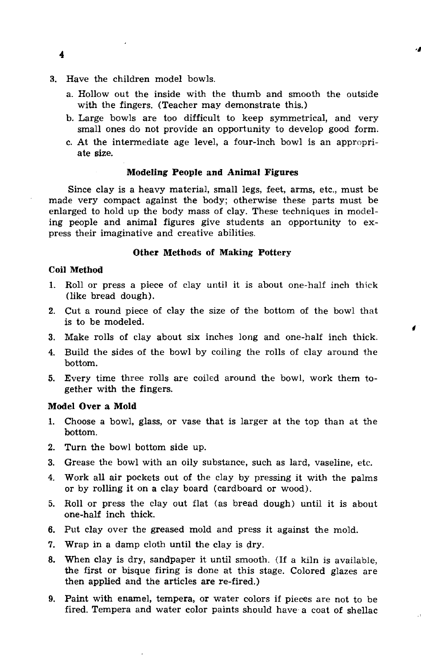- **3.** Have the children model bowls.
	- a. Hollow out the inside with the thumb and smooth the outside with the fingers. (Teacher may demonstrate this.)
	- b. Large bowls are too difficult to keep symmetrical, and very small ones do not provide an opportunity to develop good form.
	- c. At the intermediate age level, a four-inch bowl is an appropriate **size.**

#### **Modeling People and Animal Figures**

Since clay is a heavy material, small legs, feet, arms, etc., must be made very compact against the body; otherwise these parts must be enlarged to hold up the body mass of clay. These techniques in modeling people and animal figures give students an opportunity to express their imaginative and creative abilities.

#### **Other Methods of Making Pottery**

#### **Coil Method**

- 1. Roll or press a piece of clay until it is about one-half inch thick (like bread dough).
- 2. Cut a round piece of clay the size of the bottom of the bowl that is to be modeled.
- **3.** Make rolls of clay about six inches long and one-half inch thick.
- **4.** Build the sides of the bowl by coiling the rolls of clay around the bottom.
- **5.** Every time three rolls are coiled around the bowl, work them together with the fingers.

## **Model Over a Mold**

- **1.** Choose a bowl, glass, or vase that is larger at the top than at the bottom.
- 2. Turn the bowl bottom side up.
- **3.** Grease the bowl with an. oily substance, such as lard, vaseline, etc.
- **4.** Work all air pockets out of the clay by pressing it with the palms or by rolling it on a clay board (cardboard or wood).
- 5. Roll or press the clay out flat (as bread dough) until it is about one-half inch thick.
- 6. Put clay over the greased mold and press it against the mold.
- 7. Wrap in a damp cloth until the clay is dry.
- 8. When clay is dry, sandpaper it until smooth. (If a kiln is available, the first or bisque firing is done at this stage. Colored glazes are then applied and the articles are re-fired.)
- 9. Paint with enamel, tempera, or water colors if pieces are not to be fired. Tempera and water color paints should have a coat of shellac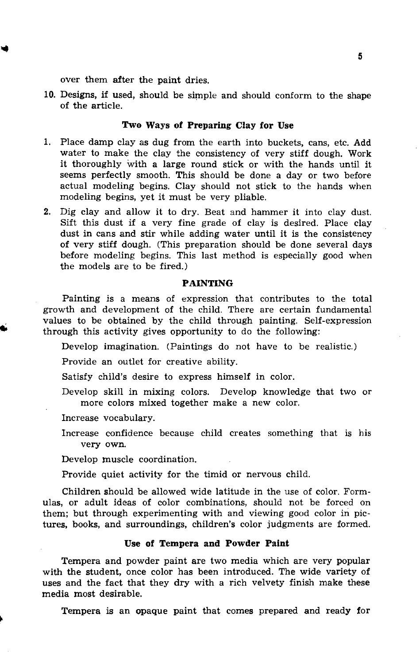over them after the paint dries.

10. Designs, if used, should be simple and should conform to the shape of the article.

## **Two Ways of Preparing Clay for Use**

- 1. Place damp clay as dug from the earth into buckets, cans, etc. **Add**  water to make the clay the consistency of very stiff dough. Work it thoroughly with a large round stick or with the hands until it seems perfectly smooth. This should be done a day or two before actual modeling begins. Clay should not stick to the hands when modeling begins, yet it must be very pliable.
- 2. Dig clay and allow it to dry. Beat and hammer it into clay dust. Sift this dust if a very fine grade of clay is desired. Place clay dust in cans and stir while adding water until it is the consistency of very stiff dough. (This preparation should be done several days before modeling begins. This last method is especially good when the models are to be fired.)

#### **PAINTING**

Painting is a means of expression that contributes to the total growth and development of the child. There are certain fundamental values to be obtained by the child through painting. Self-expression through this activity gives opportunity to do the following:

Develop imagination. (Paintings do not have to be realistic.)

Provide an outlet for creative ability.

Satisfy child's desire to express himself in color.

Develop skill in mixing colors. Develop knowledge that two or more colors mixed together make a new color.

Increase vocabulary.

Increase confidence because child creates something that is his very own.

Develop muscle coordination.

Provide quiet activity for the timid or nervous child.

Children should be allowed wide latitude in the use of color. Formulas, or adult ideas of color combinations, should not be forced on them; but through experimenting with and viewing good color in pictures, books, and surroundings, children's color judgments are formed.

#### **Use of Tempera and Powder Paint**

Tempera and powder paint are two media which are very popular with the student, once color has been introduced. The wide variety of uses and the fact that they dry with a rich velvety finish make these media most desirable.

Tempera is an opaque paint that comes prepared and ready for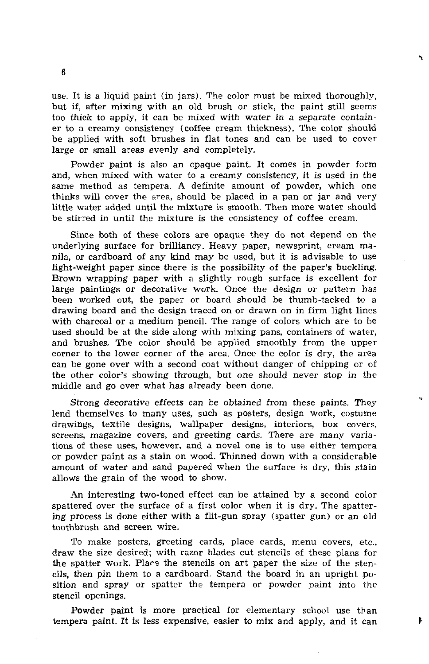use. It is a liquid paint (in jars). The color must be mixed thoroughly, but if, after mixing with an old brush or stick, the paint still seems too thick to apply, it can be mixed with water in a separate container to a creamy consistency (coffee cream thickness). The color should be applied with soft brushes in flat tones and can be used to cover large or small areas evenly and completely.

Powder paint is also an opaque paint. It comes in powder form and, when mixed with water to a creamy consistency, it is used in the same method as tempera. A definite amount of powder, which one thinks will cover the area, should be placed in a pan or jar and very little water added until the mixture is smooth. Then more water should be stirred in until the mixture is the consistency of coffee cream.

Since both of these colors are opaque they do not depend on the underlying surface for brilliancy. Heavy paper, newsprint, cream manila, or cardboard of any kind may be used, but it is advisable to use light-weight paper since there is the possibility of the paper's buckling. Brown wrapping paper with a slightly rough surface is excellent for large paintings or decorative work. Once the design or pattern has been worked out, the paper or board should be thumb-tacked to **a**  drawing board and the design traced on or drawn on in firm light lines with charcoal or a medium pencil. The range of colors which are to be used should be at the side along with mixing pans, containers of water, and brushes. The color should be applied smoothly from the upper corner to the lower corner of the area. Once the color is dry, the area can be gone over with a second coat without danger of chipping or of the other color's showing through, but one should never stop in the middle and go over what has already been done.

Strong decorative effects can be obtained from these paints. They lend themselves to many uses, such as posters, design work, costume drawings, textile designs, wallpaper designs, interiors, box covers, screens, magazine covers, and greeting cards. There are many variations of these uses, however, and a novel one is to use either tempera or powder paint as a stain on wood. Thinned down with a considerable amount of water and sand papered when the surface is dry, this stain allows the grain of the wood to show.

An interesting two-toned effect can be attained by a second color spattered over the surface of a first color when it is dry. The spattering process is done either with a flit-gun spray (spatter gun) or an old toothbrush and screen wire.

To make posters, greeting cards, place cards, menu covers, etc., draw the size desired; with razor blades cut stencils of these plans for the spatter work. Place the stencils on art paper the size of the stencils, then pin them to a cardboard. Stand the board in an upright position and spray or spatter the tempera or powder paint into the stencil openings.

Powder paint is more practical for elementary school use than tempera paint. It is less expensive, easier to mix and apply, and it can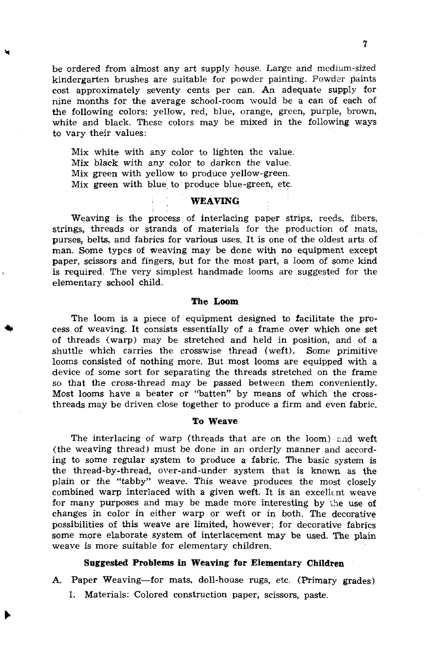be ordered from almost any art supply house. Large and medium-sized kindergarten brushes are suitable for powder painting. Powder paints cost approximately seventy cents per can. An adequate supply for nine months for the average school-room would be a can of each of the following colors: yellow, red, blue, orange, green, purple, brown, white and black. These colors may be mixed in the following ways to vary their values:

Mix white with any color to lighten the value. Mix black with any color to darken the value. Mix green with yellow to produce yellow-green. Mix green with blue to produce blue-greeh, etc.

## **WEAVING**

Weaving is the process of interlacing paper strips, reeds, fibers, strings, threads or strands of materials for the production of mats, purses, belts, and fabrics for various uses. It is one of the oldest arts of man. Some types of weaving may be done with no equipment except paper, scissors and fingers, but for the most part, a loom of some kind is required. The very simplest handmade looms are suggested for the elementary school child.

#### **The Loom**

The loom is a piece of equipment designed to facilitate the process of weaving. It consists essentially of a frame over which one set of threads (warp) may be stretched and held in position, and of a shuttle which carries the crosswise thread (weft). Some primitive looms consisted of nothing more. But most looms are equipped with a device of some sort for separating the threads stretched on the frame so that the cross-thread may be passed between them conveniently. Most looms have a beater or "batten" by means of which the crossthreads may be driven close together to produce a firm and even fabric.

#### **To Weave**

The interlacing of warp (threads that are on the loom) and weft (the weaving thread) must be done in an orderly manner and according to some regular system to produce a fabric. The basic system is the thread-by-thread, over-and-under system that is known as the plain or the "tabby" weave. This weave produces the most closely combined warp interlaced with a given weft. It is an excellent weave for many purposes and may be made more interesting by the use of changes in color in either warp or weft or in both. The decorative possibilities of this weave are limited, however; for decorative fabrics some more elaborate system of interlacement may be used. The plain weave is more suitable for elementary children.

#### **Suggested Problems in Weaving for Elementary Children**

A. Paper Weaving-for mats, doll-house rugs, etc. (Primary grades)

1. Materials: Colored construction paper, scissors, paste.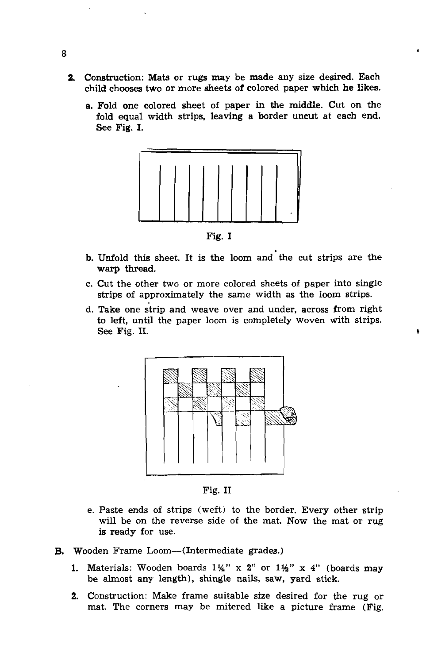- **2.** Construction: Mats or rugs may be made any size desired. Each child chooses two or more sheets of colored paper which he likes.
	- a. Fold one colored sheet of paper in the middle. Cut on the fold equal width strips, leaving a border uncut at each end. See Fig. I.



Fig. I

- b. Unfold this sheet. It is the loom and'the cut strips are the warp thread.
- c. Cut the other two or more colored sheets of paper into single strips of approximately the same width as the loom strips.
- d. Take one strip and weave over and under, across from right to left, until the paper loom is completely woven with strips. See **Fig. 11.**



Fig. I1

- e. Paste ends of strips (weft) to the border. Every other strip will be on the reverse side of the mat. Now the mat or rug is ready for use.
- B. Wooden Frame Loom-(Intermediate grades.)
	- 1. Materials: Wooden boards **1%"** x 2" or **1%"** x 4" (boards may be almost any length), shingle nails, saw, yard stick.
	- 2. Construction: Make frame suitable size desired for the rug or mat. The corners may be mitered like a picture frame (Fig.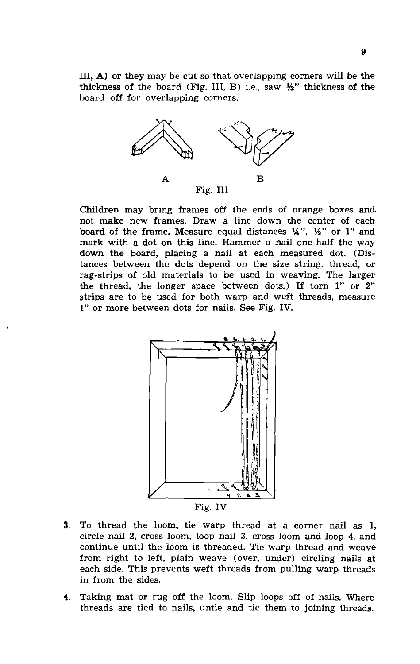111, A) or they may be cut so that overlapping corners will be the thickness of the board (Fig. III, B) i.e., saw  $\frac{1}{2}$ " thickness of the board off for overlapping corners.



Children may bring frames off the ends of orange boxes and. not make new frames. Draw a line down the center of each board of the frame. Measure equal distances  $\frac{1}{4}$ ,  $\frac{1}{2}$  or 1" and mark with a dot on this line. Hammer a nail one-half the way down the board, placing a nail at each measured dot. (Distances between the dots depend on the size string, thread, or rag-strips of old materials to be used in weaving. The larger the thread, the longer space between dots.) If torn **1'** or 2" strips are to be used for both warp and weft threads, measure 1" or more between dots for nails. See Fig. IV.



- **3.** To thread the loom, tie warp thread at a corner nail as 1, circle nail 2, cross loom, loop nail **3,** cross loom and loop 4, and continue until the loom is threaded. Tie warp thread and weave from right to left, plain weave (over, under) circling nails at each side. This prevents weft threads from pulling warp threads in from the sides.
- 4. Taking mat or rug off the loom. Slip loops off of nails. Where threads are tied to nails, untie and tie them to joining threads.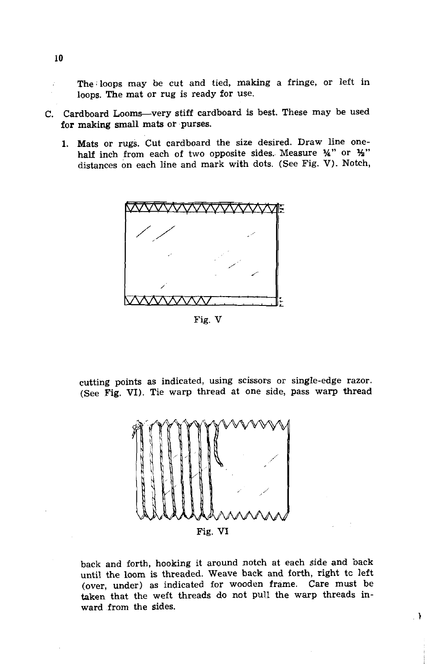. The:loops may be cut and tied, making a fringe, or left in loops. The mat or rug is ready for use.

- C. Cardboard Looms-very stiff cardboard is best. These may be used for making small mats or purses.
	- 1. Mats or rugs. Cut cardboard the size desired. Draw line onehalf inch from each of two opposite sides. Measure  $\mathcal{H}$ " or  $\mathcal{H}$ " distances on each line and mark with dots. (See Fig. V). Notch,



Fig. V

cutting points as indicated, using scissors or single-edge razor. (See Fig. VI). Tie warp thread at one side, pass warp thread



back and forth, hooking it around notch at each side and back until the loom is threaded. Weave back and forth, right tc left (over, under) as indicated for wooden frame. Care must be taken that the weft threads do not pull the warp threads inward from the sides.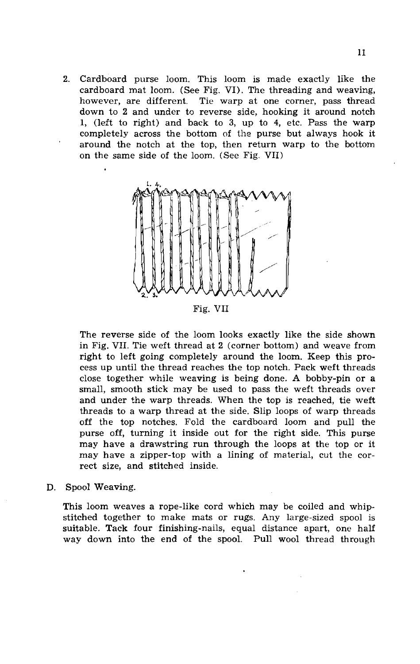2. Cardboard purse loom. This loom is made exactly like the cardboard mat loom. (See Fig. VI). The threading and weaving, however, are different. Tie warp at one corner, pass thread Tie warp at one corner, pass thread down to 2 and under to reverse side, hooking it around notch **1,** (left to right) and back to **3,** up to 4, etc. Pass the warp completely across the bottom of the purse but always hook it around the notch at the top, then return warp to the bottom on the same side of the loom. (See Fig. VII)



Fig. VII

The reverse side of the loom looks exactly like the side shown in Fig. VII. Tie weft thread at 2 (corner bottom) and weave from right to left going completely around the loom. Keep this process up until the thread reaches the top notch. Pack weft threads close together while weaving is being done. **A** bobby-pin or a small, smooth stick may be used to pass the weft threads over and under the warp threads. When the top is reached, tie weft threads to a warp thread at the side. Slip loops of warp threads off the top notches. Fold the cardboard loom and pull the purse off, turning it inside out for the right side. This purse may have a drawstring run through the loops at the top or it may have a zipper-top with a lining of material, cut the correct size, and stitched inside.

D. Spool Weaving.

This loom weaves a rope-like cord which may be coiled and whipstitched together to make mats or rugs. Any large-sized spool is suitable. Tack four finishing-nails, equal distance apart, one half way down into the end of the spool. Pull wool thread through